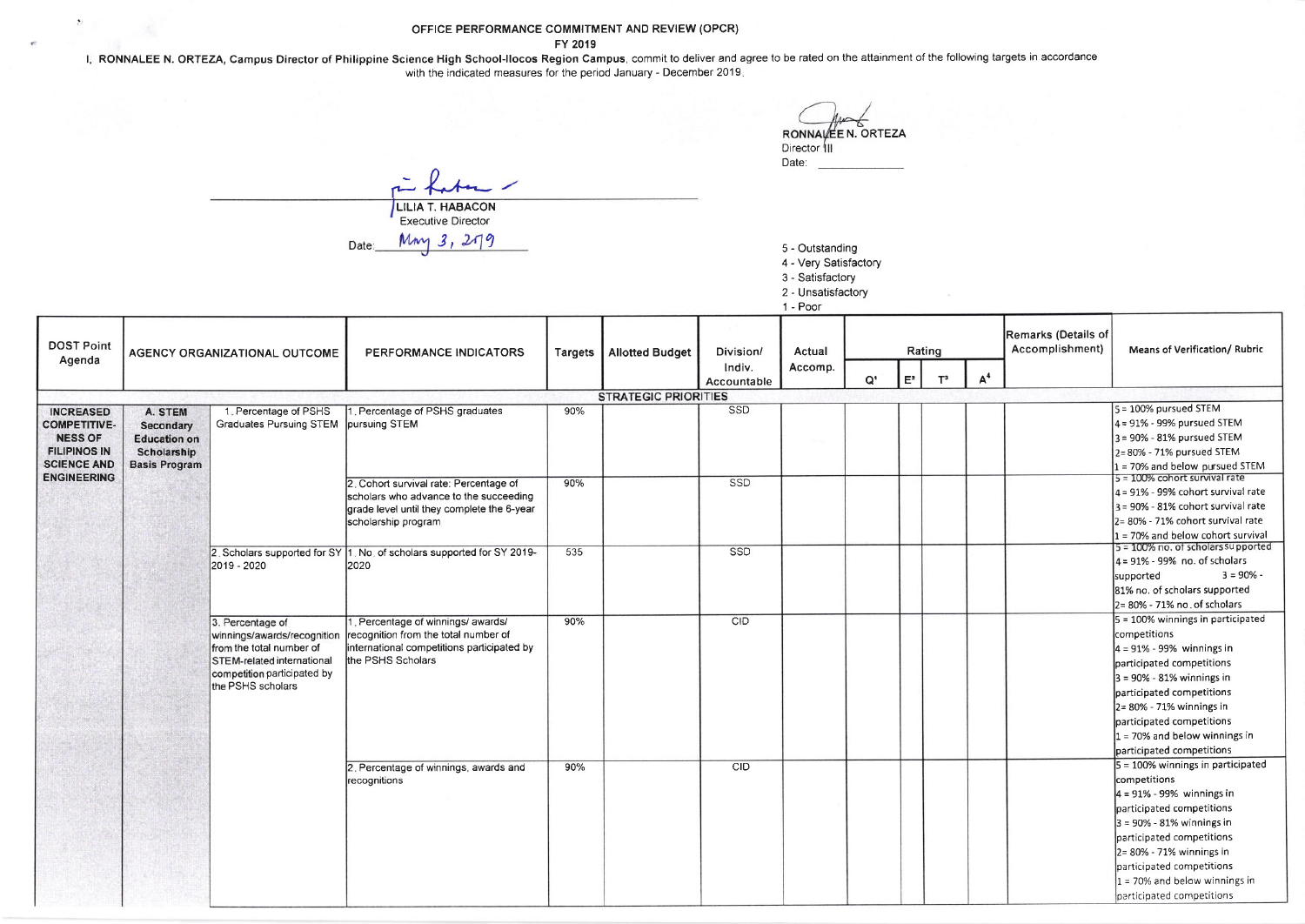OFFICE PERFORMANCE COMMITMENT AND REVIEW (OPCR)

FY 2019<br>I, RONNALEE N. ORTEZA, Campus Director of Philippine Science High School-Ilocos Region Campus, commit to deliver and agree to be rated on the attainment of the following targets in accordance with the indicated measures for the period January - December 2019.

RONNALE N. ORTEZA Director<sup>1</sup>III<br>Date:

 $f_{\star}$   $f_{\star}$   $\sim$ r fata Executive Director

 $\Delta$ 

 $Mny 3, 279$ Date:

5 - Outstanding

4 - Very Satisfactory 3 - Satisfactory

2 - Unsatisfactory

1 - Poor

| <b>DOST Point</b><br>Agenda                                                                                                  | AGENCY ORGANIZATIONAL OUTCOME                                                      |                                                                                                                                                                      | PERFORMANCE INDICATORS                                                                                                                                | <b>Targets</b> | <b>Allotted Budget</b>      | Division/<br>Indiv.<br>Accountable | Actual<br>Accomp. |       |       | Rating |                | Remarks (Details of<br>Accomplishment) | Means of Verification/ Rubric                          |
|------------------------------------------------------------------------------------------------------------------------------|------------------------------------------------------------------------------------|----------------------------------------------------------------------------------------------------------------------------------------------------------------------|-------------------------------------------------------------------------------------------------------------------------------------------------------|----------------|-----------------------------|------------------------------------|-------------------|-------|-------|--------|----------------|----------------------------------------|--------------------------------------------------------|
|                                                                                                                              |                                                                                    |                                                                                                                                                                      |                                                                                                                                                       |                |                             |                                    |                   | $Q^*$ | $E^2$ | $T^3$  | A <sup>4</sup> |                                        |                                                        |
|                                                                                                                              |                                                                                    |                                                                                                                                                                      |                                                                                                                                                       |                | <b>STRATEGIC PRIORITIES</b> |                                    |                   |       |       |        |                |                                        |                                                        |
| <b>INCREASED</b><br><b>COMPETITIVE-</b><br><b>NESS OF</b><br><b>FILIPINOS IN</b><br><b>SCIENCE AND</b><br><b>ENGINEERING</b> | A. STEM<br>Secondary<br><b>Education on</b><br>Scholarship<br><b>Basis Program</b> | 1. Percentage of PSHS<br>Graduates Pursuing STEM pursuing STEM                                                                                                       | Percentage of PSHS graduates                                                                                                                          | 90%            |                             | SSD                                |                   |       |       |        |                |                                        | $5 = 100\%$ pursued STEM<br>4 = 91% - 99% pursued STEM |
|                                                                                                                              |                                                                                    |                                                                                                                                                                      |                                                                                                                                                       |                |                             |                                    |                   |       |       |        |                |                                        | 3 = 90% - 81% pursued STEM                             |
|                                                                                                                              |                                                                                    |                                                                                                                                                                      |                                                                                                                                                       |                |                             |                                    |                   |       |       |        |                |                                        | 2= 80% - 71% pursued STEM                              |
|                                                                                                                              |                                                                                    |                                                                                                                                                                      |                                                                                                                                                       |                |                             |                                    |                   |       |       |        |                |                                        | 1 = 70% and below pursued STEM                         |
|                                                                                                                              |                                                                                    |                                                                                                                                                                      | 2. Cohort survival rate: Percentage of<br>scholars who advance to the succeeding<br>grade level until they complete the 6-year<br>scholarship program | 90%            |                             | SSD                                |                   |       |       |        |                |                                        | $5 = 100\%$ cohort survival rate                       |
|                                                                                                                              |                                                                                    |                                                                                                                                                                      |                                                                                                                                                       |                |                             |                                    |                   |       |       |        |                |                                        | $4 = 91\%$ - 99% cohort survival rate                  |
|                                                                                                                              |                                                                                    |                                                                                                                                                                      |                                                                                                                                                       |                |                             |                                    |                   |       |       |        |                |                                        | $3 = 90\% - 81\%$ cohort survival rate                 |
|                                                                                                                              |                                                                                    |                                                                                                                                                                      |                                                                                                                                                       |                |                             |                                    |                   |       |       |        |                |                                        | 2= 80% - 71% cohort survival rate                      |
|                                                                                                                              |                                                                                    |                                                                                                                                                                      |                                                                                                                                                       |                |                             |                                    |                   |       |       |        |                |                                        | $1 = 70\%$ and below cohort survival                   |
|                                                                                                                              |                                                                                    | 2019 - 2020                                                                                                                                                          | 2. Scholars supported for SY 1. No. of scholars supported for SY 2019-<br>2020                                                                        | 535            |                             | SSD                                |                   |       |       |        |                |                                        | $5 = 100\%$ no. of scholars supported                  |
|                                                                                                                              |                                                                                    |                                                                                                                                                                      |                                                                                                                                                       |                |                             |                                    |                   |       |       |        |                |                                        | $4 = 91\% - 99\%$ no. of scholars                      |
|                                                                                                                              |                                                                                    |                                                                                                                                                                      |                                                                                                                                                       |                |                             |                                    |                   |       |       |        |                |                                        | $3 = 90\%$<br>supported                                |
|                                                                                                                              |                                                                                    |                                                                                                                                                                      |                                                                                                                                                       |                |                             |                                    |                   |       |       |        |                |                                        | 81% no. of scholars supported                          |
|                                                                                                                              |                                                                                    |                                                                                                                                                                      |                                                                                                                                                       |                |                             |                                    |                   |       |       |        |                |                                        | 2= 80% - 71% no. of scholars                           |
|                                                                                                                              |                                                                                    | 3. Percentage of<br>winnings/awards/recognition<br>from the total number of<br><b>STEM-related international</b><br>competition participated by<br>the PSHS scholars | Percentage of winnings/awards/<br>recognition from the total number of<br>international competitions participated by<br>the PSHS Scholars             | 90%            |                             | CID                                |                   |       |       |        |                |                                        | 5 = 100% winnings in participated                      |
|                                                                                                                              |                                                                                    |                                                                                                                                                                      |                                                                                                                                                       |                |                             |                                    |                   |       |       |        |                |                                        | competitions                                           |
|                                                                                                                              |                                                                                    |                                                                                                                                                                      |                                                                                                                                                       |                |                             |                                    |                   |       |       |        |                |                                        | $4 = 91\% - 99\%$ winnings in                          |
|                                                                                                                              |                                                                                    |                                                                                                                                                                      |                                                                                                                                                       |                |                             |                                    |                   |       |       |        |                |                                        | participated competitions                              |
|                                                                                                                              |                                                                                    |                                                                                                                                                                      |                                                                                                                                                       |                |                             |                                    |                   |       |       |        |                |                                        | $3 = 90\% - 81\%$ winnings in                          |
|                                                                                                                              |                                                                                    |                                                                                                                                                                      |                                                                                                                                                       |                |                             |                                    |                   |       |       |        |                |                                        | participated competitions                              |
|                                                                                                                              |                                                                                    |                                                                                                                                                                      |                                                                                                                                                       |                |                             |                                    |                   |       |       |        |                |                                        | $2 = 80\% - 71\%$ winnings in                          |
|                                                                                                                              |                                                                                    |                                                                                                                                                                      |                                                                                                                                                       |                |                             |                                    |                   |       |       |        |                |                                        | participated competitions                              |
|                                                                                                                              |                                                                                    |                                                                                                                                                                      |                                                                                                                                                       |                |                             |                                    |                   |       |       |        |                |                                        | $1 = 70\%$ and below winnings in                       |
|                                                                                                                              |                                                                                    |                                                                                                                                                                      |                                                                                                                                                       |                |                             |                                    |                   |       |       |        |                |                                        | participated competitions                              |
|                                                                                                                              |                                                                                    |                                                                                                                                                                      | 2. Percentage of winnings, awards and<br>recognitions                                                                                                 | 90%            |                             | CID                                |                   |       |       |        |                |                                        | 5 = 100% winnings in participated                      |
|                                                                                                                              |                                                                                    |                                                                                                                                                                      |                                                                                                                                                       |                |                             |                                    |                   |       |       |        |                |                                        | competitions                                           |
|                                                                                                                              |                                                                                    |                                                                                                                                                                      |                                                                                                                                                       |                |                             |                                    |                   |       |       |        |                |                                        | $4 = 91\% - 99\%$ winnings in                          |
|                                                                                                                              |                                                                                    |                                                                                                                                                                      |                                                                                                                                                       |                |                             |                                    |                   |       |       |        |                |                                        | participated competitions                              |
|                                                                                                                              |                                                                                    |                                                                                                                                                                      |                                                                                                                                                       |                |                             |                                    |                   |       |       |        |                |                                        | $3 = 90\% - 81\%$ winnings in                          |
|                                                                                                                              |                                                                                    |                                                                                                                                                                      |                                                                                                                                                       |                |                             |                                    |                   |       |       |        |                |                                        | participated competitions                              |
|                                                                                                                              |                                                                                    |                                                                                                                                                                      |                                                                                                                                                       |                |                             |                                    |                   |       |       |        |                |                                        | 2= 80% - 71% winnings in                               |
|                                                                                                                              |                                                                                    |                                                                                                                                                                      |                                                                                                                                                       |                |                             |                                    |                   |       |       |        |                |                                        | participated competitions                              |
|                                                                                                                              |                                                                                    |                                                                                                                                                                      |                                                                                                                                                       |                |                             |                                    |                   |       |       |        |                |                                        | $1 = 70\%$ and below winnings in                       |
|                                                                                                                              |                                                                                    |                                                                                                                                                                      |                                                                                                                                                       |                |                             |                                    |                   |       |       |        |                |                                        | participated competitions                              |